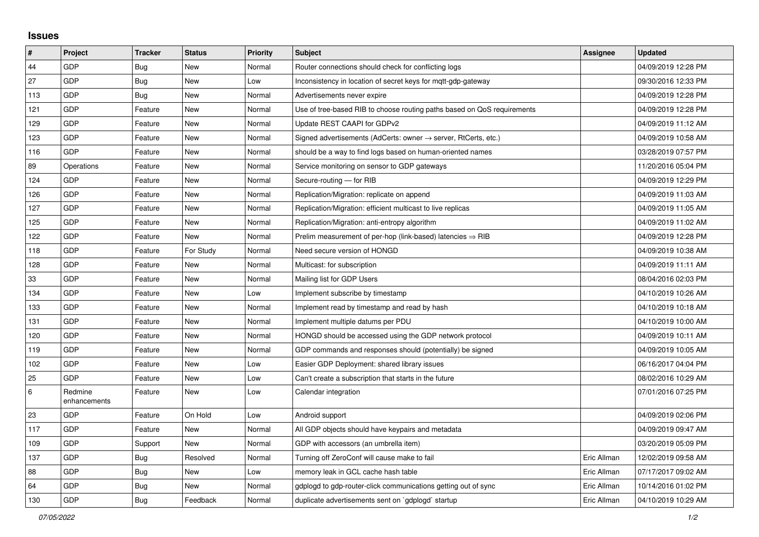## **Issues**

| $\sharp$ | Project                 | <b>Tracker</b> | <b>Status</b> | <b>Priority</b> | <b>Subject</b>                                                             | Assignee    | <b>Updated</b>      |
|----------|-------------------------|----------------|---------------|-----------------|----------------------------------------------------------------------------|-------------|---------------------|
| 44       | <b>GDP</b>              | Bug            | <b>New</b>    | Normal          | Router connections should check for conflicting logs                       |             | 04/09/2019 12:28 PM |
| 27       | GDP                     | Bug            | <b>New</b>    | Low             | Inconsistency in location of secret keys for mqtt-gdp-gateway              |             | 09/30/2016 12:33 PM |
| 113      | GDP                     | Bug            | <b>New</b>    | Normal          | Advertisements never expire                                                |             | 04/09/2019 12:28 PM |
| 121      | <b>GDP</b>              | Feature        | <b>New</b>    | Normal          | Use of tree-based RIB to choose routing paths based on QoS requirements    |             | 04/09/2019 12:28 PM |
| 129      | GDP                     | Feature        | <b>New</b>    | Normal          | Update REST CAAPI for GDPv2                                                |             | 04/09/2019 11:12 AM |
| 123      | <b>GDP</b>              | Feature        | New           | Normal          | Signed advertisements (AdCerts: owner $\rightarrow$ server, RtCerts, etc.) |             | 04/09/2019 10:58 AM |
| 116      | <b>GDP</b>              | Feature        | New           | Normal          | should be a way to find logs based on human-oriented names                 |             | 03/28/2019 07:57 PM |
| 89       | Operations              | Feature        | <b>New</b>    | Normal          | Service monitoring on sensor to GDP gateways                               |             | 11/20/2016 05:04 PM |
| 124      | <b>GDP</b>              | Feature        | New           | Normal          | Secure-routing - for RIB                                                   |             | 04/09/2019 12:29 PM |
| 126      | GDP                     | Feature        | <b>New</b>    | Normal          | Replication/Migration: replicate on append                                 |             | 04/09/2019 11:03 AM |
| 127      | <b>GDP</b>              | Feature        | New           | Normal          | Replication/Migration: efficient multicast to live replicas                |             | 04/09/2019 11:05 AM |
| 125      | <b>GDP</b>              | Feature        | New           | Normal          | Replication/Migration: anti-entropy algorithm                              |             | 04/09/2019 11:02 AM |
| 122      | GDP                     | Feature        | New           | Normal          | Prelim measurement of per-hop (link-based) latencies $\Rightarrow$ RIB     |             | 04/09/2019 12:28 PM |
| 118      | <b>GDP</b>              | Feature        | For Study     | Normal          | Need secure version of HONGD                                               |             | 04/09/2019 10:38 AM |
| 128      | GDP                     | Feature        | <b>New</b>    | Normal          | Multicast: for subscription                                                |             | 04/09/2019 11:11 AM |
| 33       | <b>GDP</b>              | Feature        | <b>New</b>    | Normal          | Mailing list for GDP Users                                                 |             | 08/04/2016 02:03 PM |
| 134      | GDP                     | Feature        | <b>New</b>    | Low             | Implement subscribe by timestamp                                           |             | 04/10/2019 10:26 AM |
| 133      | GDP                     | Feature        | <b>New</b>    | Normal          | Implement read by timestamp and read by hash                               |             | 04/10/2019 10:18 AM |
| 131      | GDP                     | Feature        | <b>New</b>    | Normal          | Implement multiple datums per PDU                                          |             | 04/10/2019 10:00 AM |
| 120      | GDP                     | Feature        | <b>New</b>    | Normal          | HONGD should be accessed using the GDP network protocol                    |             | 04/09/2019 10:11 AM |
| 119      | GDP                     | Feature        | <b>New</b>    | Normal          | GDP commands and responses should (potentially) be signed                  |             | 04/09/2019 10:05 AM |
| 102      | GDP                     | Feature        | <b>New</b>    | Low             | Easier GDP Deployment: shared library issues                               |             | 06/16/2017 04:04 PM |
| 25       | GDP                     | Feature        | <b>New</b>    | Low             | Can't create a subscription that starts in the future                      |             | 08/02/2016 10:29 AM |
| 6        | Redmine<br>enhancements | Feature        | <b>New</b>    | Low             | Calendar integration                                                       |             | 07/01/2016 07:25 PM |
| 23       | GDP                     | Feature        | On Hold       | Low             | Android support                                                            |             | 04/09/2019 02:06 PM |
| 117      | GDP                     | Feature        | <b>New</b>    | Normal          | All GDP objects should have keypairs and metadata                          |             | 04/09/2019 09:47 AM |
| 109      | GDP                     | Support        | <b>New</b>    | Normal          | GDP with accessors (an umbrella item)                                      |             | 03/20/2019 05:09 PM |
| 137      | GDP                     | <b>Bug</b>     | Resolved      | Normal          | Turning off ZeroConf will cause make to fail                               | Eric Allman | 12/02/2019 09:58 AM |
| 88       | <b>GDP</b>              | <b>Bug</b>     | New           | Low             | memory leak in GCL cache hash table                                        | Eric Allman | 07/17/2017 09:02 AM |
| 64       | GDP                     | <b>Bug</b>     | <b>New</b>    | Normal          | gdplogd to gdp-router-click communications getting out of sync             | Eric Allman | 10/14/2016 01:02 PM |
| 130      | GDP                     | <b>Bug</b>     | Feedback      | Normal          | duplicate advertisements sent on `gdplogd` startup                         | Eric Allman | 04/10/2019 10:29 AM |